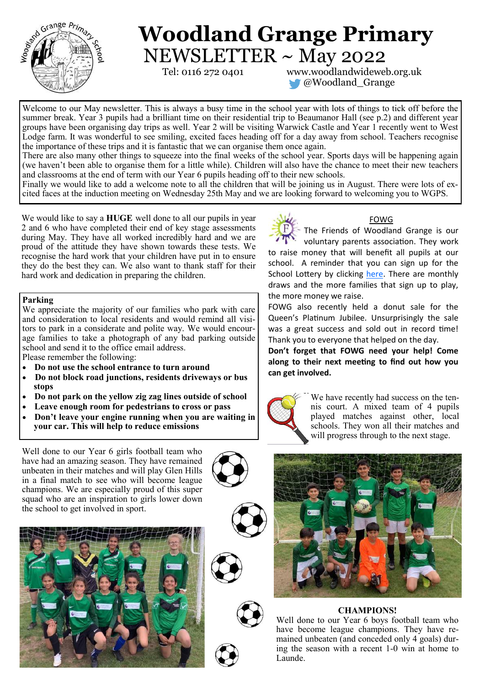

# **Woodland Grange Primary** NEWSLETTER ~ May 2022

 Tel: 0116 272 0401 www.woodlandwideweb.org.uk @Woodland\_Grange

Welcome to our May newsletter. This is always a busy time in the school year with lots of things to tick off before the summer break. Year 3 pupils had a brilliant time on their residential trip to Beaumanor Hall (see p.2) and different year groups have been organising day trips as well. Year 2 will be visiting Warwick Castle and Year 1 recently went to West Lodge farm. It was wonderful to see smiling, excited faces heading off for a day away from school. Teachers recognise the importance of these trips and it is fantastic that we can organise them once again.

There are also many other things to squeeze into the final weeks of the school year. Sports days will be happening again (we haven't been able to organise them for a little while). Children will also have the chance to meet their new teachers and classrooms at the end of term with our Year 6 pupils heading off to their new schools.

Finally we would like to add a welcome note to all the children that will be joining us in August. There were lots of excited faces at the induction meeting on Wednesday 25th May and we are looking forward to welcoming you to WGPS.

We would like to say a **HUGE** well done to all our pupils in year 2 and 6 who have completed their end of key stage assessments during May. They have all worked incredibly hard and we are proud of the attitude they have shown towards these tests. We recognise the hard work that your children have put in to ensure they do the best they can. We also want to thank staff for their hard work and dedication in preparing the children.

### **Parking**

We appreciate the majority of our families who park with care and consideration to local residents and would remind all visitors to park in a considerate and polite way. We would encourage families to take a photograph of any bad parking outside school and send it to the office email address. Please remember the following:

- **Do not use the school entrance to turn around**
- **Do not block road junctions, residents driveways or bus stops**
- **Do not park on the yellow zig zag lines outside of school**
- **Leave enough room for pedestrians to cross or pass**
- **Don't leave your engine running when you are waiting in your car. This will help to reduce emissions**

Well done to our Year 6 girls football team who have had an amazing season. They have remained unbeaten in their matches and will play Glen Hills in a final match to see who will become league champions. We are especially proud of this super squad who are an inspiration to girls lower down the school to get involved in sport.















The Friends of Woodland Grange is our voluntary parents association. They work

to raise money that will benefit all pupils at our school. A reminder that you can sign up for the School Lottery by clicking [here.](https://www.yourschoollottery.co.uk/lottery/school/woodland-grange-primary-school) There are monthly draws and the more families that sign up to play, the more money we raise.

FOWG also recently held a donut sale for the Queen's Platinum Jubilee. Unsurprisingly the sale was a great success and sold out in record time! Thank you to everyone that helped on the day.

**Don't forget that FOWG need your help! Come along to their next meeting to find out how you can get involved.** 



We have recently had success on the tennis court. A mixed team of 4 pupils played matches against other, local schools. They won all their matches and will progress through to the next stage.



### **CHAMPIONS!**

Well done to our Year 6 boys football team who have become league champions. They have remained unbeaten (and conceded only 4 goals) during the season with a recent 1-0 win at home to Launde.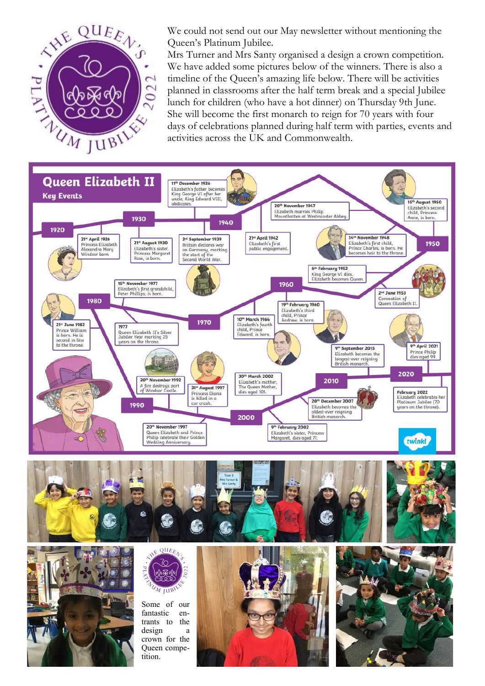

We could not send out our May newsletter without mentioning the Queen's Platinum Jubilee.

Mrs Turner and Mrs Santy organised a design a crown competition. We have added some pictures below of the winners. There is also a timeline of the Queen's amazing life below. There will be activities planned in classrooms after the half term break and a special Jubilee lunch for children (who have a hot dinner) on Thursday 9th June. She will become the first monarch to reign for 70 years with four days of celebrations planned during half term with parties, events and activities across the UK and Commonwealth.









Some of our fantastic entrants to the design a crown for the Queen competition.